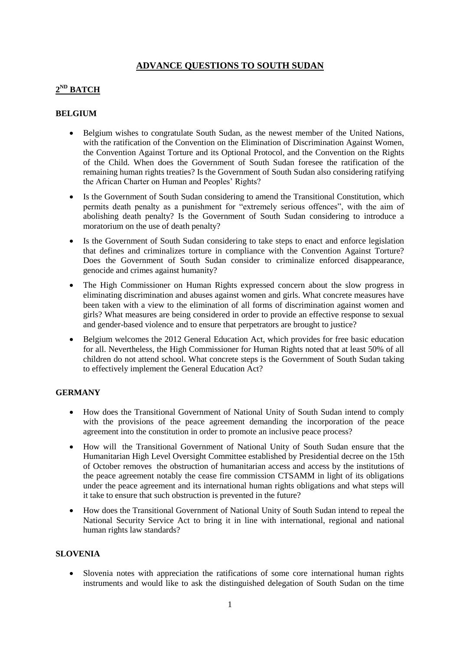## **ADVANCE QUESTIONS TO SOUTH SUDAN**

# **2 ND BATCH**

#### **BELGIUM**

- Belgium wishes to congratulate South Sudan, as the newest member of the United Nations, with the ratification of the Convention on the Elimination of Discrimination Against Women, the Convention Against Torture and its Optional Protocol, and the Convention on the Rights of the Child. When does the Government of South Sudan foresee the ratification of the remaining human rights treaties? Is the Government of South Sudan also considering ratifying the African Charter on Human and Peoples' Rights?
- Is the Government of South Sudan considering to amend the Transitional Constitution, which permits death penalty as a punishment for "extremely serious offences", with the aim of abolishing death penalty? Is the Government of South Sudan considering to introduce a moratorium on the use of death penalty?
- Is the Government of South Sudan considering to take steps to enact and enforce legislation that defines and criminalizes torture in compliance with the Convention Against Torture? Does the Government of South Sudan consider to criminalize enforced disappearance, genocide and crimes against humanity?
- The High Commissioner on Human Rights expressed concern about the slow progress in eliminating discrimination and abuses against women and girls. What concrete measures have been taken with a view to the elimination of all forms of discrimination against women and girls? What measures are being considered in order to provide an effective response to sexual and gender-based violence and to ensure that perpetrators are brought to justice?
- Belgium welcomes the 2012 General Education Act, which provides for free basic education for all. Nevertheless, the High Commissioner for Human Rights noted that at least 50% of all children do not attend school. What concrete steps is the Government of South Sudan taking to effectively implement the General Education Act?

### **GERMANY**

- How does the Transitional Government of National Unity of South Sudan intend to comply with the provisions of the peace agreement demanding the incorporation of the peace agreement into the constitution in order to promote an inclusive peace process?
- How will the Transitional Government of National Unity of South Sudan ensure that the Humanitarian High Level Oversight Committee established by Presidential decree on the 15th of October removes the obstruction of humanitarian access and access by the institutions of the peace agreement notably the cease fire commission CTSAMM in light of its obligations under the peace agreement and its international human rights obligations and what steps will it take to ensure that such obstruction is prevented in the future?
- How does the Transitional Government of National Unity of South Sudan intend to repeal the National Security Service Act to bring it in line with international, regional and national human rights law standards?

### **SLOVENIA**

 Slovenia notes with appreciation the ratifications of some core international human rights instruments and would like to ask the distinguished delegation of South Sudan on the time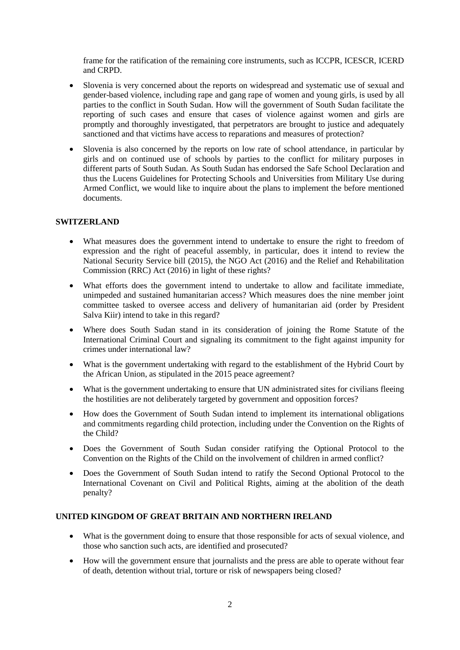frame for the ratification of the remaining core instruments, such as ICCPR, ICESCR, ICERD and CRPD.

- Slovenia is very concerned about the reports on widespread and systematic use of sexual and gender-based violence, including rape and gang rape of women and young girls, is used by all parties to the conflict in South Sudan. How will the government of South Sudan facilitate the reporting of such cases and ensure that cases of violence against women and girls are promptly and thoroughly investigated, that perpetrators are brought to justice and adequately sanctioned and that victims have access to reparations and measures of protection?
- Slovenia is also concerned by the reports on low rate of school attendance, in particular by girls and on continued use of schools by parties to the conflict for military purposes in different parts of South Sudan. As South Sudan has endorsed the Safe School Declaration and thus the Lucens Guidelines for Protecting Schools and Universities from Military Use during Armed Conflict, we would like to inquire about the plans to implement the before mentioned documents.

#### **SWITZERLAND**

- What measures does the government intend to undertake to ensure the right to freedom of expression and the right of peaceful assembly, in particular, does it intend to review the National Security Service bill (2015), the NGO Act (2016) and the Relief and Rehabilitation Commission (RRC) Act (2016) in light of these rights?
- What efforts does the government intend to undertake to allow and facilitate immediate, unimpeded and sustained humanitarian access? Which measures does the nine member joint committee tasked to oversee access and delivery of humanitarian aid (order by President Salva Kiir) intend to take in this regard?
- Where does South Sudan stand in its consideration of joining the Rome Statute of the International Criminal Court and signaling its commitment to the fight against impunity for crimes under international law?
- What is the government undertaking with regard to the establishment of the Hybrid Court by the African Union, as stipulated in the 2015 peace agreement?
- What is the government undertaking to ensure that UN administrated sites for civilians fleeing the hostilities are not deliberately targeted by government and opposition forces?
- How does the Government of South Sudan intend to implement its international obligations and commitments regarding child protection, including under the Convention on the Rights of the Child?
- Does the Government of South Sudan consider ratifying the Optional Protocol to the Convention on the Rights of the Child on the involvement of children in armed conflict?
- Does the Government of South Sudan intend to ratify the Second Optional Protocol to the International Covenant on Civil and Political Rights, aiming at the abolition of the death penalty?

#### **UNITED KINGDOM OF GREAT BRITAIN AND NORTHERN IRELAND**

- What is the government doing to ensure that those responsible for acts of sexual violence, and those who sanction such acts, are identified and prosecuted?
- How will the government ensure that journalists and the press are able to operate without fear of death, detention without trial, torture or risk of newspapers being closed?